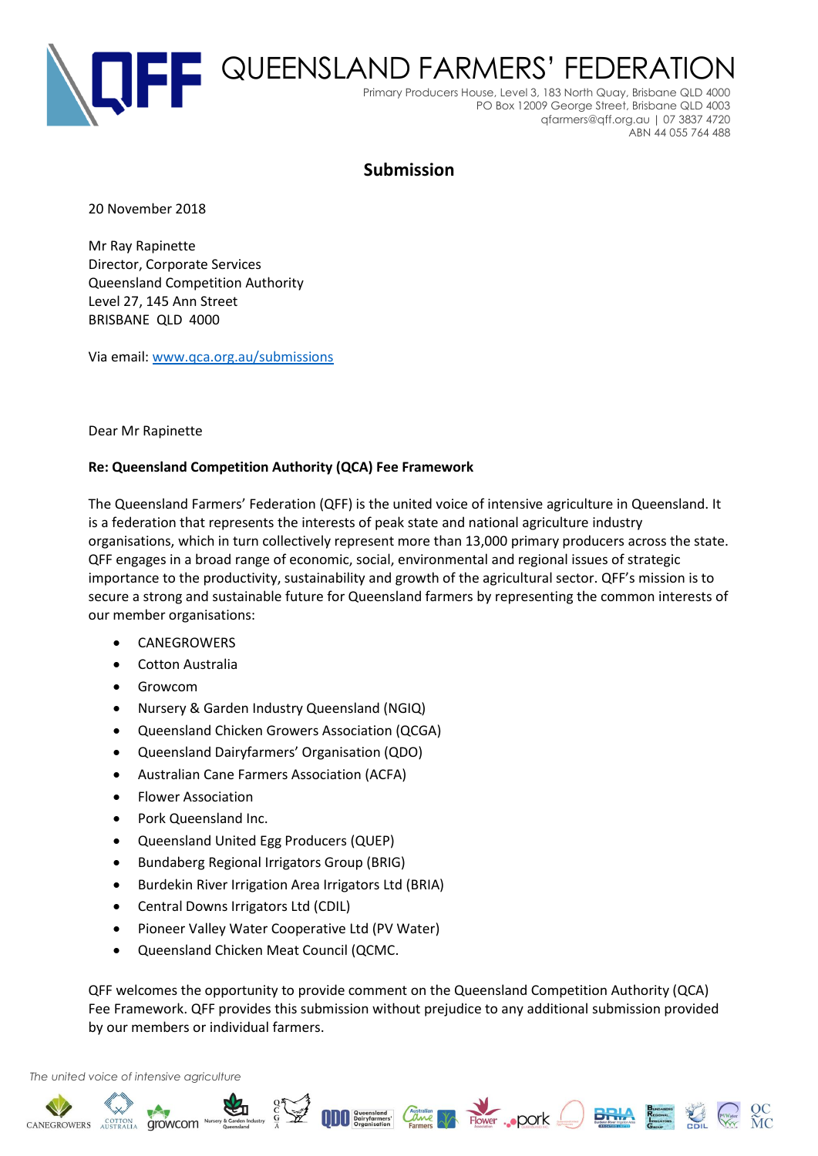

# **Submission**

20 November 2018

Mr Ray Rapinette Director, Corporate Services Queensland Competition Authority Level 27, 145 Ann Street BRISBANE QLD 4000

Via email: [www.qca.org.au/submissions](http://www.qca.org.au/submissions)

#### Dear Mr Rapinette

#### **Re: Queensland Competition Authority (QCA) Fee Framework**

The Queensland Farmers' Federation (QFF) is the united voice of intensive agriculture in Queensland. It is a federation that represents the interests of peak state and national agriculture industry organisations, which in turn collectively represent more than 13,000 primary producers across the state. QFF engages in a broad range of economic, social, environmental and regional issues of strategic importance to the productivity, sustainability and growth of the agricultural sector. QFF's mission is to secure a strong and sustainable future for Queensland farmers by representing the common interests of our member organisations:

- **CANEGROWERS**
- Cotton Australia
- Growcom
- Nursery & Garden Industry Queensland (NGIQ)
- Queensland Chicken Growers Association (QCGA)
- Queensland Dairyfarmers' Organisation (QDO)
- Australian Cane Farmers Association (ACFA)
- Flower Association
- Pork Queensland Inc.
- Queensland United Egg Producers (QUEP)
- Bundaberg Regional Irrigators Group (BRIG)
- Burdekin River Irrigation Area Irrigators Ltd (BRIA)
- Central Downs Irrigators Ltd (CDIL)
- Pioneer Valley Water Cooperative Ltd (PV Water)
- Queensland Chicken Meat Council (QCMC.

QFF welcomes the opportunity to provide comment on the Queensland Competition Authority (QCA) Fee Framework. QFF provides this submission without prejudice to any additional submission provided by our members or individual farmers.

Solution of the Constant of Constant Constant Constant Constant Constant Constant Constant Constant Constant Constant Constant Constant Constant Constant Constant Constant Constant Constant Constant Constant Constant Const

#### *The united voice of intensive agriculture*

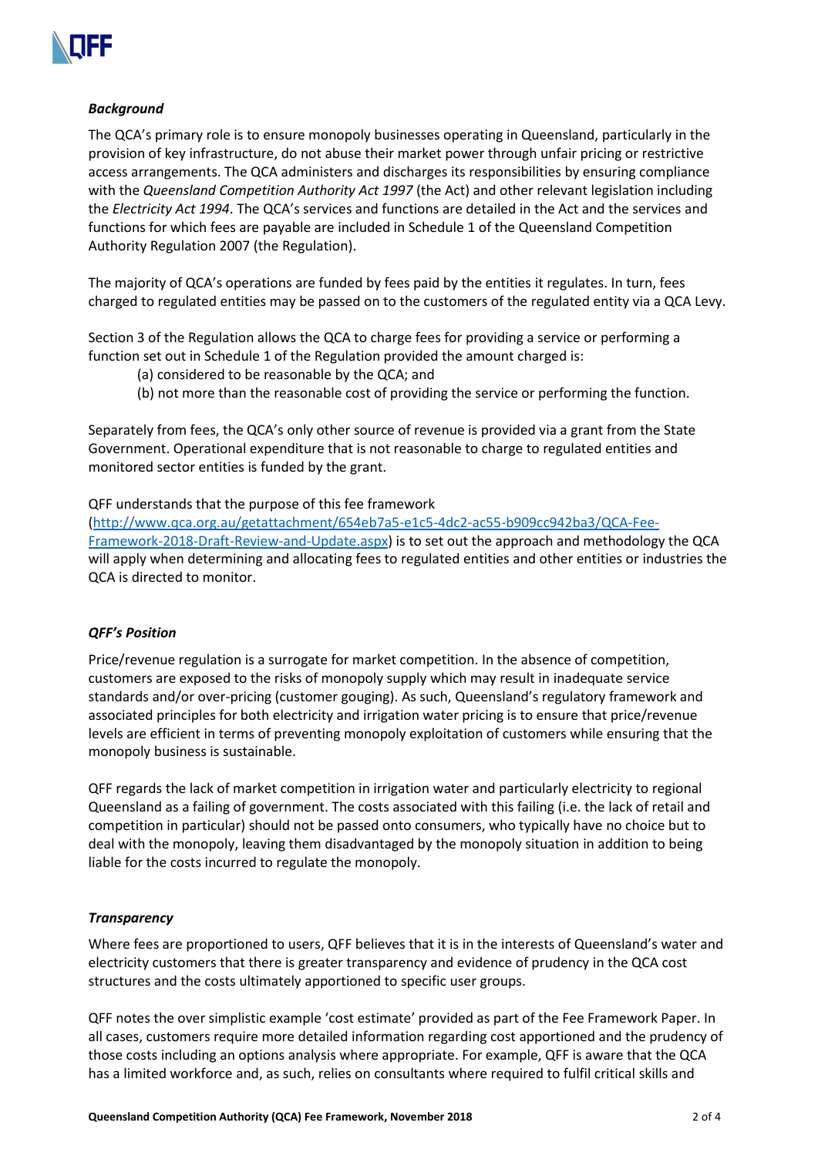

## *Background*

The QCA's primary role is to ensure monopoly businesses operating in Queensland, particularly in the provision of key infrastructure, do not abuse their market power through unfair pricing or restrictive access arrangements. The QCA administers and discharges its responsibilities by ensuring compliance with the *Queensland Competition Authority Act 1997* (the Act) and other relevant legislation including the *Electricity Act 1994*. The QCA's services and functions are detailed in the Act and the services and functions for which fees are payable are included in Schedule 1 of the Queensland Competition Authority Regulation 2007 (the Regulation).

The majority of QCA's operations are funded by fees paid by the entities it regulates. In turn, fees charged to regulated entities may be passed on to the customers of the regulated entity via a QCA Levy.

Section 3 of the Regulation allows the QCA to charge fees for providing a service or performing a function set out in Schedule 1 of the Regulation provided the amount charged is:

- (a) considered to be reasonable by the QCA; and
- (b) not more than the reasonable cost of providing the service or performing the function.

Separately from fees, the QCA's only other source of revenue is provided via a grant from the State Government. Operational expenditure that is not reasonable to charge to regulated entities and monitored sector entities is funded by the grant.

# QFF understands that the purpose of this fee framework

[\(http://www.qca.org.au/getattachment/654eb7a5-e1c5-4dc2-ac55-b909cc942ba3/QCA-Fee-](http://www.qca.org.au/getattachment/654eb7a5-e1c5-4dc2-ac55-b909cc942ba3/QCA-Fee-Framework-2018-Draft-Review-and-Update.aspx)[Framework-2018-Draft-Review-and-Update.aspx\)](http://www.qca.org.au/getattachment/654eb7a5-e1c5-4dc2-ac55-b909cc942ba3/QCA-Fee-Framework-2018-Draft-Review-and-Update.aspx) is to set out the approach and methodology the QCA will apply when determining and allocating fees to regulated entities and other entities or industries the QCA is directed to monitor.

### *QFF's Position*

Price/revenue regulation is a surrogate for market competition. In the absence of competition, customers are exposed to the risks of monopoly supply which may result in inadequate service standards and/or over-pricing (customer gouging). As such, Queensland's regulatory framework and associated principles for both electricity and irrigation water pricing is to ensure that price/revenue levels are efficient in terms of preventing monopoly exploitation of customers while ensuring that the monopoly business is sustainable.

QFF regards the lack of market competition in irrigation water and particularly electricity to regional Queensland as a failing of government. The costs associated with this failing (i.e. the lack of retail and competition in particular) should not be passed onto consumers, who typically have no choice but to deal with the monopoly, leaving them disadvantaged by the monopoly situation in addition to being liable for the costs incurred to regulate the monopoly.

### *Transparency*

Where fees are proportioned to users, QFF believes that it is in the interests of Queensland's water and electricity customers that there is greater transparency and evidence of prudency in the QCA cost structures and the costs ultimately apportioned to specific user groups.

QFF notes the over simplistic example 'cost estimate' provided as part of the Fee Framework Paper. In all cases, customers require more detailed information regarding cost apportioned and the prudency of those costs including an options analysis where appropriate. For example, QFF is aware that the QCA has a limited workforce and, as such, relies on consultants where required to fulfil critical skills and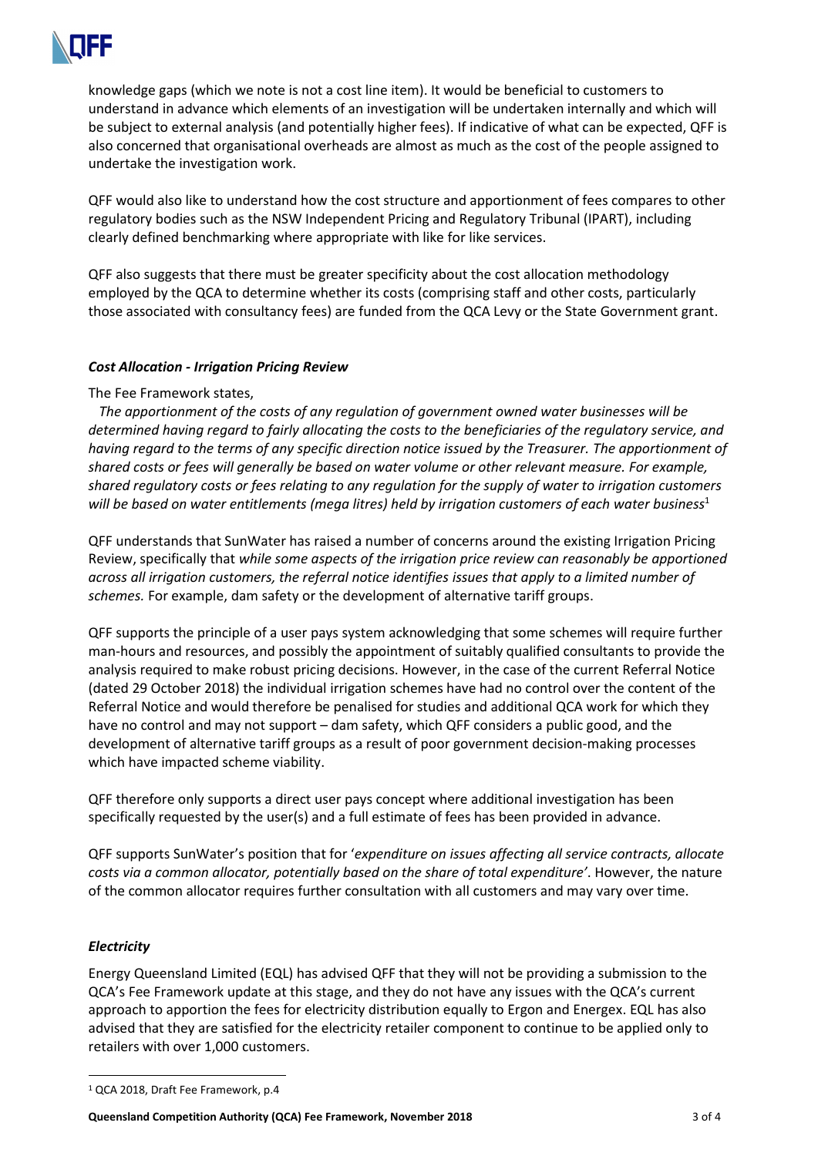

knowledge gaps (which we note is not a cost line item). It would be beneficial to customers to understand in advance which elements of an investigation will be undertaken internally and which will be subject to external analysis (and potentially higher fees). If indicative of what can be expected, QFF is also concerned that organisational overheads are almost as much as the cost of the people assigned to undertake the investigation work.

QFF would also like to understand how the cost structure and apportionment of fees compares to other regulatory bodies such as the NSW Independent Pricing and Regulatory Tribunal (IPART), including clearly defined benchmarking where appropriate with like for like services.

QFF also suggests that there must be greater specificity about the cost allocation methodology employed by the QCA to determine whether its costs (comprising staff and other costs, particularly those associated with consultancy fees) are funded from the QCA Levy or the State Government grant.

### *Cost Allocation - Irrigation Pricing Review*

# The Fee Framework states,

*The apportionment of the costs of any regulation of government owned water businesses will be determined having regard to fairly allocating the costs to the beneficiaries of the regulatory service, and having regard to the terms of any specific direction notice issued by the Treasurer. The apportionment of shared costs or fees will generally be based on water volume or other relevant measure. For example, shared regulatory costs or fees relating to any regulation for the supply of water to irrigation customers will be based on water entitlements (mega litres) held by irrigation customers of each water business*<sup>1</sup>

QFF understands that SunWater has raised a number of concerns around the existing Irrigation Pricing Review, specifically that *while some aspects of the irrigation price review can reasonably be apportioned across all irrigation customers, the referral notice identifies issues that apply to a limited number of schemes.* For example, dam safety or the development of alternative tariff groups.

QFF supports the principle of a user pays system acknowledging that some schemes will require further man-hours and resources, and possibly the appointment of suitably qualified consultants to provide the analysis required to make robust pricing decisions. However, in the case of the current Referral Notice (dated 29 October 2018) the individual irrigation schemes have had no control over the content of the Referral Notice and would therefore be penalised for studies and additional QCA work for which they have no control and may not support – dam safety, which QFF considers a public good, and the development of alternative tariff groups as a result of poor government decision-making processes which have impacted scheme viability.

QFF therefore only supports a direct user pays concept where additional investigation has been specifically requested by the user(s) and a full estimate of fees has been provided in advance.

QFF supports SunWater's position that for '*expenditure on issues affecting all service contracts, allocate costs via a common allocator, potentially based on the share of total expenditure'*. However, the nature of the common allocator requires further consultation with all customers and may vary over time.

# *Electricity*

Energy Queensland Limited (EQL) has advised QFF that they will not be providing a submission to the QCA's Fee Framework update at this stage, and they do not have any issues with the QCA's current approach to apportion the fees for electricity distribution equally to Ergon and Energex. EQL has also advised that they are satisfied for the electricity retailer component to continue to be applied only to retailers with over 1,000 customers.

<sup>1</sup> QCA 2018, Draft Fee Framework, p.4